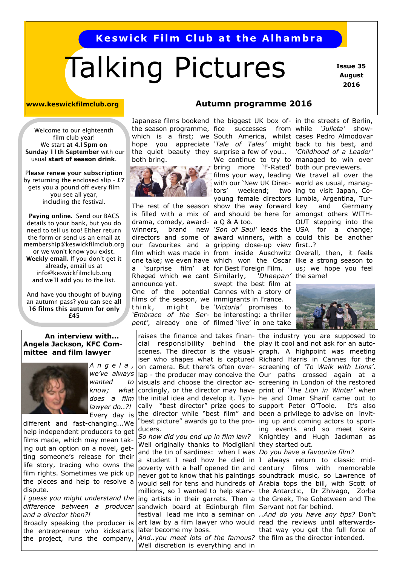#### **Keswick Film Club at the Alhambra**

## Talking Pictures

 **Issue 35 August 2016**

**www.keswickfilmclub.org Autumn programme 2016**

Welcome to our eighteenth film club year! We start **at 4.15pm on Sunday 11th September** with our usual **start of season drink**.

P**lease renew your subscription**  by returning the enclosed slip - **£7** gets you a pound off every film you see all year, including the festival.

**Paying online.** Send our BACS details to your bank, but you do need to tell us too! Either return the form or send us an email at membership@keswickfilmclub.org or we won't know you exist. **Weekly email.** If you don't get it already, email us at info@keswickfilmclub.org and we'll add you to the list.

And have you thought of buying an autumn pass? you can see **all 16 films this autumn for only £45**

# both bring.



drama, comedy, award-a Q & A too. our favourites and a gripping close-up view first..? film which was made in from inside Auschwitz Overall, then, it feels a 'surprise film' at for Best Foreign Film. Rheged which we cant Similarly, *'Dheepan'*  announce yet. One of the potential Cannes with a story of films of the season, we immigrants in France. think, might *'Embrace of the Ser-*be interesting: a thriller *pent'*, already one of filmed 'live' in one take

the season programme, fice successes from while *'Julieta'* showwhich is a first; we South America, whilst cases Pedro Almodovar hope you appreciate *'Tale of Tales'* might back to his best, and the quiet beauty they surprise a few of you… *'Childhood of a Leader'*  The rest of the season show the way forward is filled with a mix of and should be here for amongst others WITH-We continue to try to managed to win over bring more 'F-Rated' both our previewers. films your way, leading We travel all over the with our 'New UK Direc-world as usual, managtors' weekend: young female directors lumbia, Argentina, Tur-

swept the best film at *'Victoria'* promises to 'Dheepan' the same!

Japanese films bookend the biggest UK box of-in the streets of Berlin, winners, brand new *'Son of Saul'* leads the USA for a change; directors and some of award winners, with a could this be another two ing to visit Japan, Coand Germany OUT stepping into the

one take; we even have which won the Oscar like a strong season to us; we hope you feel



#### **An interview with... Angela Jackson, KFC Committee and film lawyer**



*A n g e l a , we've always wanted to know; what does a film lawyer do..?!* Every day is

different and fast-changing...We help independent producers to get films made, which may mean taking out an option on a novel, getting someone's release for their life story, tracing who owns the film rights. Sometimes we pick up the pieces and help to resolve a dispute.

*I guess you might understand the difference between a producer and a director then?!* Broadly speaking the producer is the entrepreneur who kickstarts the project, runs the company,

raises the finance and takes financial responsibility behind the scenes. The director is the visualiser who shapes what is captured Richard Harris in Cannes for the on camera. But there's often overlap - the producer may conceive the visuals and choose the director accordingly, or the director may have the initial idea and develop it. Typically "best director" prize goes to support Peter O'Toole. It's also the director while "best film" and "best picture" awards go to the producers.

*So how did you end up in film law?* Well originally thanks to Modigliani and the tin of sardines: when I was a student I read how he died in poverty with a half opened tin and never got to know that his paintings millions, so I wanted to help starving artists in their garrets. Then a sandwich board at Edinburgh film Servant not far behind. art law by a film lawyer who would read the reviews until afterwardslater become my boss. *And..you meet lots of the famous?* the film as the director intended.

Well discretion is everything and in

the industry you are supposed to play it cool and not ask for an autograph. A highpoint was meeting screening of *'To Walk with Lions'*. Our paths crossed again at a screening in London of the restored print of *'The Lion in Winter'* when he and Omar Sharif came out to been a privilege to advise on inviting up and coming actors to sporting events and so meet Keira Knightley and Hugh Jackman as they started out.

*Do you have a favourite film?*

would sell for tens and hundreds of Arabia tops the bill, with Scott of I always return to classic midcentury films with memorable soundtrack music, so Lawrence of the Antarctic, Dr Zhivago, Zorba the Greek, The Gobetween and The

festival lead me into a seminar on *..And do you have any tips?* Don't that way you get the full force of